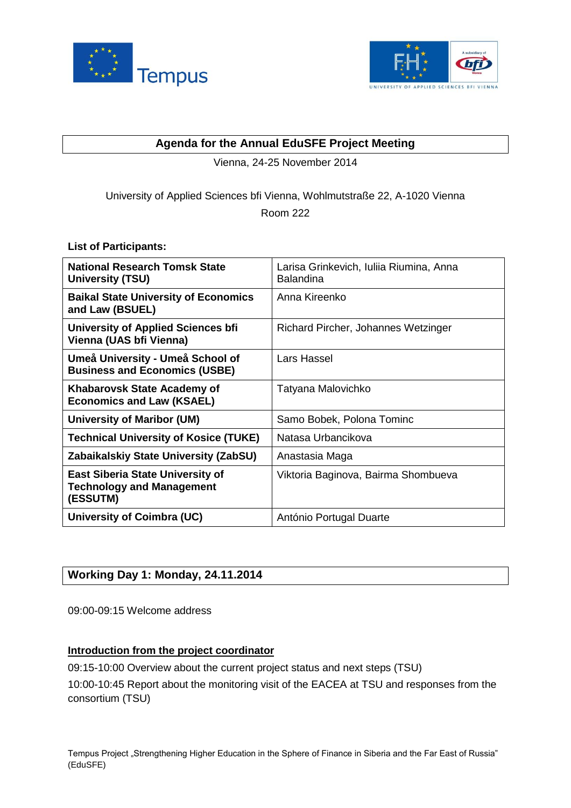



## **Agenda for the Annual EduSFE Project Meeting**

Vienna, 24-25 November 2014

# University of Applied Sciences bfi Vienna, Wohlmutstraße 22, A-1020 Vienna Room 222

# **List of Participants:**

| <b>National Research Tomsk State</b><br><b>University (TSU)</b>                         | Larisa Grinkevich, Iuliia Riumina, Anna<br><b>Balandina</b> |
|-----------------------------------------------------------------------------------------|-------------------------------------------------------------|
| <b>Baikal State University of Economics</b><br>and Law (BSUEL)                          | Anna Kireenko                                               |
| <b>University of Applied Sciences bfi</b><br>Vienna (UAS bfi Vienna)                    | Richard Pircher, Johannes Wetzinger                         |
| Umeå University - Umeå School of<br><b>Business and Economics (USBE)</b>                | Lars Hassel                                                 |
| Khabarovsk State Academy of<br><b>Economics and Law (KSAEL)</b>                         | Tatyana Malovichko                                          |
| <b>University of Maribor (UM)</b>                                                       | Samo Bobek, Polona Tominc                                   |
| <b>Technical University of Kosice (TUKE)</b>                                            | Natasa Urbancikova                                          |
| Zabaikalskiy State University (ZabSU)                                                   | Anastasia Maga                                              |
| <b>East Siberia State University of</b><br><b>Technology and Management</b><br>(ESSUTM) | Viktoria Baginova, Bairma Shombueva                         |
| University of Coimbra (UC)                                                              | António Portugal Duarte                                     |

# **Working Day 1: Monday, 24.11.2014**

09:00-09:15 Welcome address

## **Introduction from the project coordinator**

09:15-10:00 Overview about the current project status and next steps (TSU)

10:00-10:45 Report about the monitoring visit of the EACEA at TSU and responses from the consortium (TSU)